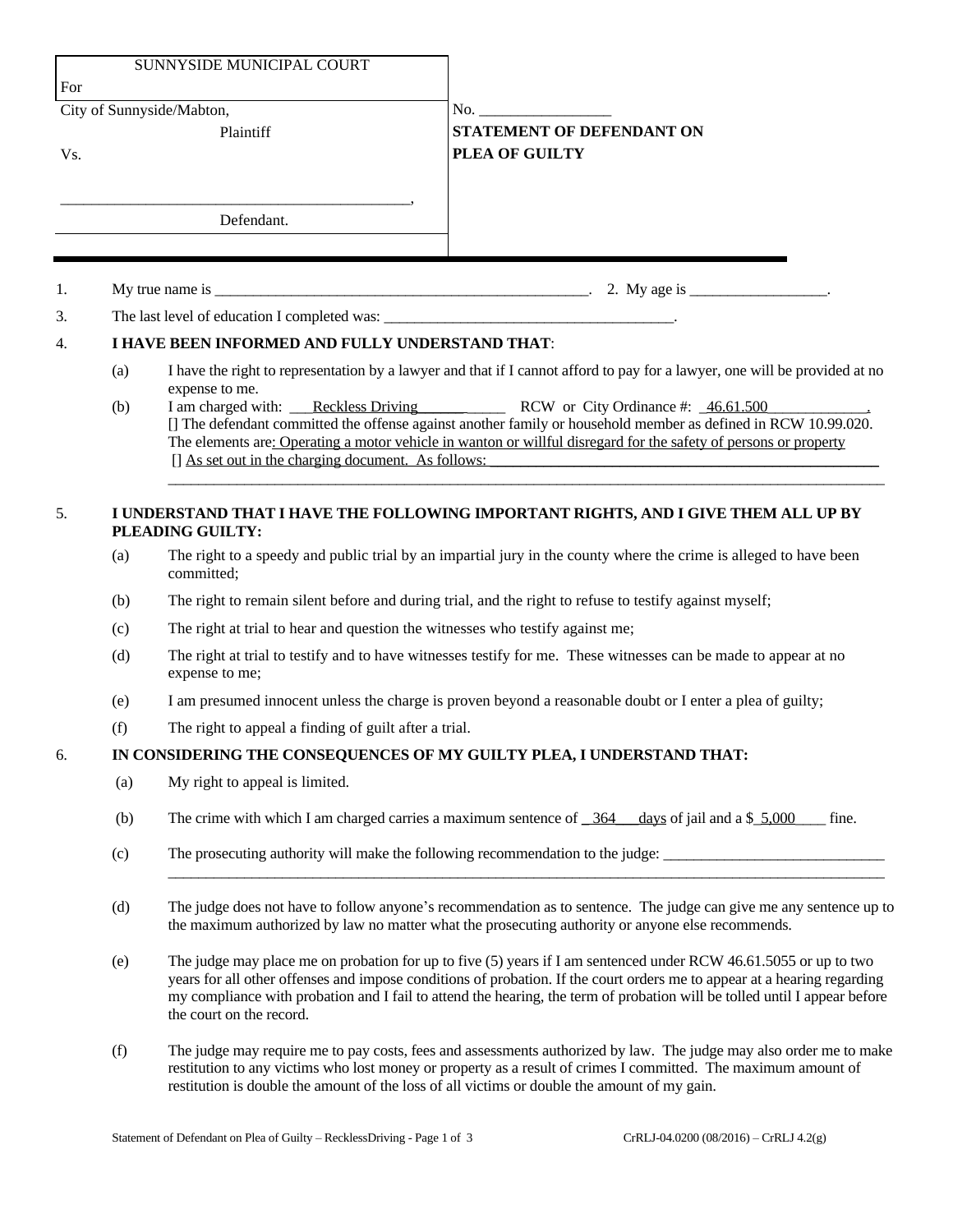| SUNNYSIDE MUNICIPAL COURT<br>For |                                                                                                        |                                                                                                                                                                                                                                                                                                                                                                                                                                                                                                                     |                                             |  |
|----------------------------------|--------------------------------------------------------------------------------------------------------|---------------------------------------------------------------------------------------------------------------------------------------------------------------------------------------------------------------------------------------------------------------------------------------------------------------------------------------------------------------------------------------------------------------------------------------------------------------------------------------------------------------------|---------------------------------------------|--|
| City of Sunnyside/Mabton,        |                                                                                                        |                                                                                                                                                                                                                                                                                                                                                                                                                                                                                                                     |                                             |  |
| Vs.                              |                                                                                                        | Plaintiff                                                                                                                                                                                                                                                                                                                                                                                                                                                                                                           | STATEMENT OF DEFENDANT ON<br>PLEA OF GUILTY |  |
|                                  |                                                                                                        | Defendant.                                                                                                                                                                                                                                                                                                                                                                                                                                                                                                          |                                             |  |
|                                  |                                                                                                        |                                                                                                                                                                                                                                                                                                                                                                                                                                                                                                                     |                                             |  |
| 1.                               |                                                                                                        |                                                                                                                                                                                                                                                                                                                                                                                                                                                                                                                     |                                             |  |
| 3.                               |                                                                                                        |                                                                                                                                                                                                                                                                                                                                                                                                                                                                                                                     |                                             |  |
| 4.                               | I HAVE BEEN INFORMED AND FULLY UNDERSTAND THAT:                                                        |                                                                                                                                                                                                                                                                                                                                                                                                                                                                                                                     |                                             |  |
|                                  | (a)<br>(b)                                                                                             | I have the right to representation by a lawyer and that if I cannot afford to pay for a lawyer, one will be provided at no<br>expense to me.<br>I am charged with: Reckless Driving RCW or City Ordinance #: 46.61.500<br>[] The defendant committed the offense against another family or household member as defined in RCW 10.99.020.<br>The elements are: Operating a motor vehicle in wanton or willful disregard for the safety of persons or property<br>[] As set out in the charging document. As follows: |                                             |  |
| 5.                               | I UNDERSTAND THAT I HAVE THE FOLLOWING IMPORTANT RIGHTS, AND I GIVE THEM ALL UP BY<br>PLEADING GUILTY: |                                                                                                                                                                                                                                                                                                                                                                                                                                                                                                                     |                                             |  |
|                                  | (a)                                                                                                    | The right to a speedy and public trial by an impartial jury in the county where the crime is alleged to have been<br>committed;                                                                                                                                                                                                                                                                                                                                                                                     |                                             |  |
|                                  | (b)                                                                                                    | The right to remain silent before and during trial, and the right to refuse to testify against myself;                                                                                                                                                                                                                                                                                                                                                                                                              |                                             |  |
|                                  | (c)                                                                                                    | The right at trial to hear and question the witnesses who testify against me;                                                                                                                                                                                                                                                                                                                                                                                                                                       |                                             |  |
|                                  | (d)                                                                                                    | The right at trial to testify and to have witnesses testify for me. These witnesses can be made to appear at no<br>expense to me;                                                                                                                                                                                                                                                                                                                                                                                   |                                             |  |
|                                  | (e)                                                                                                    | I am presumed innocent unless the charge is proven beyond a reasonable doubt or I enter a plea of guilty;                                                                                                                                                                                                                                                                                                                                                                                                           |                                             |  |
|                                  | (f)                                                                                                    | The right to appeal a finding of guilt after a trial.                                                                                                                                                                                                                                                                                                                                                                                                                                                               |                                             |  |
| 6.                               | IN CONSIDERING THE CONSEQUENCES OF MY GUILTY PLEA, I UNDERSTAND THAT:                                  |                                                                                                                                                                                                                                                                                                                                                                                                                                                                                                                     |                                             |  |
|                                  | (a)                                                                                                    | My right to appeal is limited.                                                                                                                                                                                                                                                                                                                                                                                                                                                                                      |                                             |  |
|                                  | (b)                                                                                                    | The crime with which I am charged carries a maximum sentence of $\frac{364}{364}$ days of jail and a \$ 5,000 fine.                                                                                                                                                                                                                                                                                                                                                                                                 |                                             |  |
|                                  | (c)                                                                                                    | The prosecuting authority will make the following recommendation to the judge:                                                                                                                                                                                                                                                                                                                                                                                                                                      |                                             |  |
|                                  | (d)                                                                                                    | The judge does not have to follow anyone's recommendation as to sentence. The judge can give me any sentence up to<br>the maximum authorized by law no matter what the prosecuting authority or anyone else recommends.                                                                                                                                                                                                                                                                                             |                                             |  |
|                                  | (e)                                                                                                    | The judge may place me on probation for up to five $(5)$ years if I am sentenced under RCW 46.61.5055 or up to two<br>years for all other offenses and impose conditions of probation. If the court orders me to appear at a hearing regarding<br>my compliance with probation and I fail to attend the hearing, the term of probation will be tolled until I appear before<br>the court on the record.                                                                                                             |                                             |  |
|                                  | (f)                                                                                                    | The judge may require me to pay costs, fees and assessments authorized by law. The judge may also order me to make<br>restitution to any victims who lost money or property as a result of crimes I committed. The maximum amount of<br>restitution is double the amount of the loss of all victims or double the amount of my gain.                                                                                                                                                                                |                                             |  |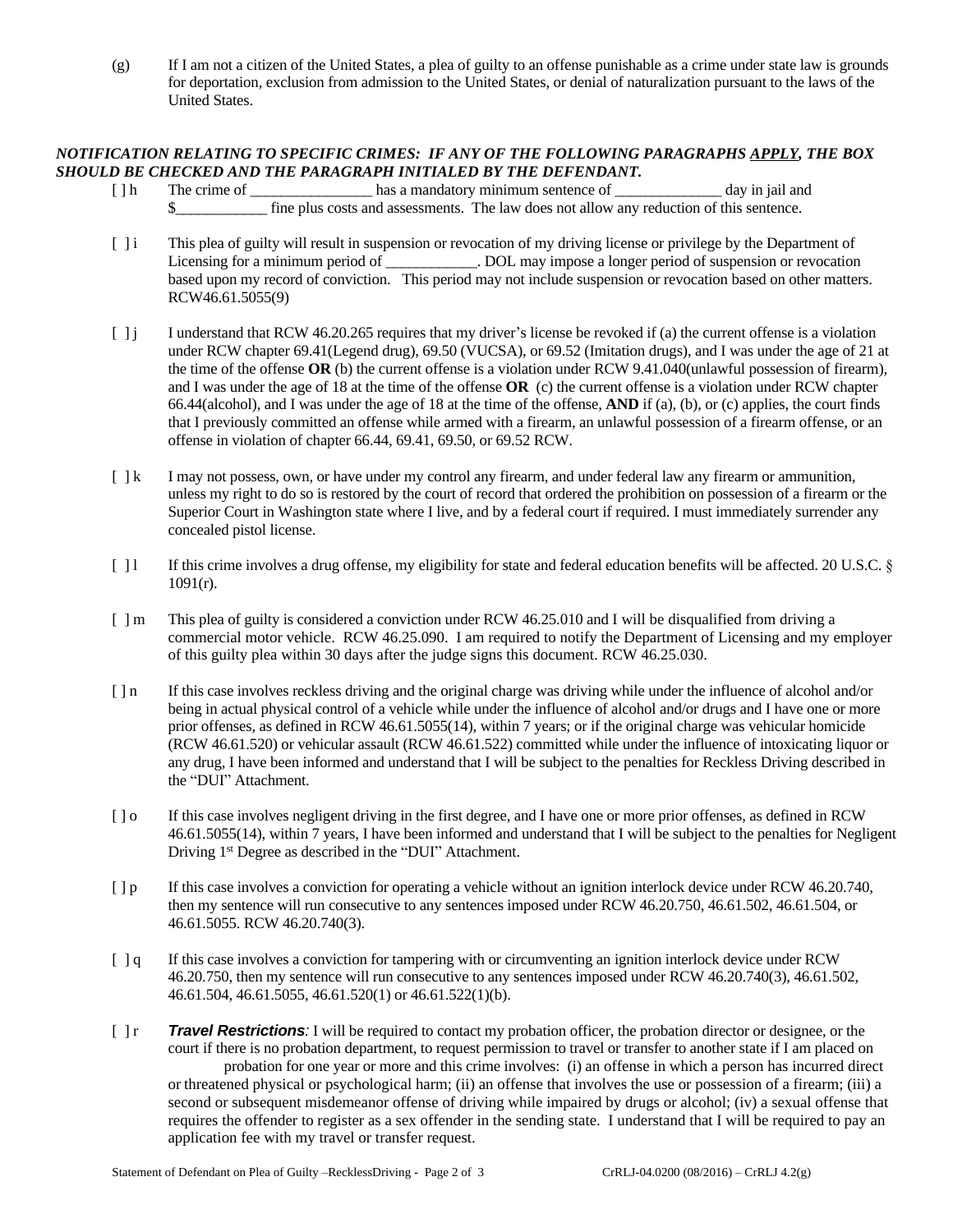(g) If I am not a citizen of the United States, a plea of guilty to an offense punishable as a crime under state law is grounds for deportation, exclusion from admission to the United States, or denial of naturalization pursuant to the laws of the United States.

## *NOTIFICATION RELATING TO SPECIFIC CRIMES: IF ANY OF THE FOLLOWING PARAGRAPHS APPLY, THE BOX SHOULD BE CHECKED AND THE PARAGRAPH INITIALED BY THE DEFENDANT.*

- [ ] h The crime of has a mandatory minimum sentence of day in jail and \$\_\_\_\_\_\_\_\_\_\_\_\_ fine plus costs and assessments. The law does not allow any reduction of this sentence.
- [ ] i This plea of guilty will result in suspension or revocation of my driving license or privilege by the Department of Licensing for a minimum period of \_\_\_\_\_\_\_\_\_\_. DOL may impose a longer period of suspension or revocation based upon my record of conviction. This period may not include suspension or revocation based on other matters. RCW46.61.5055(9)
- [ ] j I understand that RCW 46.20.265 requires that my driver's license be revoked if (a) the current offense is a violation under RCW chapter 69.41(Legend drug), 69.50 (VUCSA), or 69.52 (Imitation drugs), and I was under the age of 21 at the time of the offense **OR** (b) the current offense is a violation under RCW 9.41.040(unlawful possession of firearm), and I was under the age of 18 at the time of the offense **OR** (c) the current offense is a violation under RCW chapter 66.44(alcohol), and I was under the age of 18 at the time of the offense, **AND** if (a), (b), or (c) applies, the court finds that I previously committed an offense while armed with a firearm, an unlawful possession of a firearm offense, or an offense in violation of chapter 66.44, 69.41, 69.50, or 69.52 RCW.
- [ ] k I may not possess, own, or have under my control any firearm, and under federal law any firearm or ammunition, unless my right to do so is restored by the court of record that ordered the prohibition on possession of a firearm or the Superior Court in Washington state where I live, and by a federal court if required. I must immediately surrender any concealed pistol license.
- [ ] l If this crime involves a drug offense, my eligibility for state and federal education benefits will be affected. 20 U.S.C. §  $1091(r)$ .
- [  $\parallel$  m This plea of guilty is considered a conviction under RCW 46.25.010 and I will be disqualified from driving a commercial motor vehicle. RCW 46.25.090. I am required to notify the Department of Licensing and my employer of this guilty plea within 30 days after the judge signs this document. RCW 46.25.030.
- [ ] n If this case involves reckless driving and the original charge was driving while under the influence of alcohol and/or being in actual physical control of a vehicle while under the influence of alcohol and/or drugs and I have one or more prior offenses, as defined in RCW 46.61.5055(14), within 7 years; or if the original charge was vehicular homicide (RCW 46.61.520) or vehicular assault (RCW 46.61.522) committed while under the influence of intoxicating liquor or any drug, I have been informed and understand that I will be subject to the penalties for Reckless Driving described in the "DUI" Attachment.
- [ ] o If this case involves negligent driving in the first degree, and I have one or more prior offenses, as defined in RCW 46.61.5055(14), within 7 years, I have been informed and understand that I will be subject to the penalties for Negligent Driving 1<sup>st</sup> Degree as described in the "DUI" Attachment.
- [ ] p If this case involves a conviction for operating a vehicle without an ignition interlock device under RCW 46.20.740, then my sentence will run consecutive to any sentences imposed under RCW 46.20.750, 46.61.502, 46.61.504, or 46.61.5055. RCW 46.20.740(3).
- [ ] q If this case involves a conviction for tampering with or circumventing an ignition interlock device under RCW 46.20.750, then my sentence will run consecutive to any sentences imposed under RCW 46.20.740(3), 46.61.502, 46.61.504, 46.61.5055, 46.61.520(1) or 46.61.522(1)(b).
- [ ] r *Travel Restrictions:* I will be required to contact my probation officer, the probation director or designee, or the court if there is no probation department, to request permission to travel or transfer to another state if I am placed on probation for one year or more and this crime involves: (i) an offense in which a person has incurred direct or threatened physical or psychological harm; (ii) an offense that involves the use or possession of a firearm; (iii) a second or subsequent misdemeanor offense of driving while impaired by drugs or alcohol; (iv) a sexual offense that requires the offender to register as a sex offender in the sending state. I understand that I will be required to pay an application fee with my travel or transfer request.